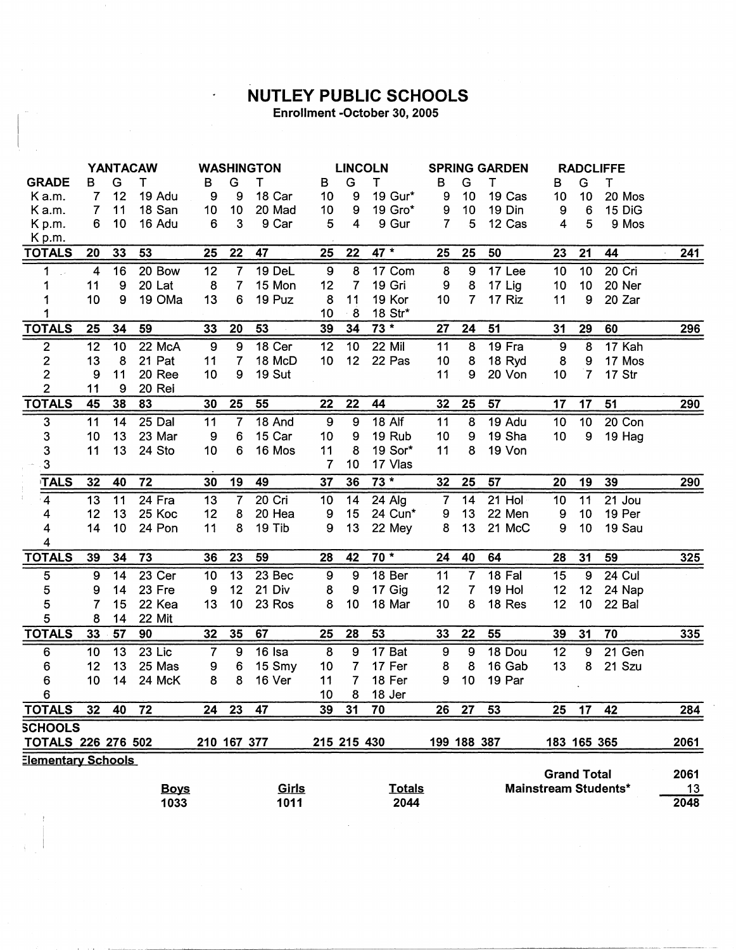## **NUTLEY PUBLIC SCHOOLS**

 $\ddot{\phantom{0}}$ 

Enrollment -October 30, 2005

|                                |                         |                  | <b>YANTACAW</b>  |                  |                 | <b>WASHINGTON</b> |                 |                  | <b>LINCOLN</b>   |                | <b>SPRING GARDEN</b><br><b>RADCLIFFE</b> |                  |                    |                     |                      |            |
|--------------------------------|-------------------------|------------------|------------------|------------------|-----------------|-------------------|-----------------|------------------|------------------|----------------|------------------------------------------|------------------|--------------------|---------------------|----------------------|------------|
| <b>GRADE</b>                   | в                       | G                | т                | В                | G               | т                 | В               | G                | Τ                | В              | G                                        | т                | в                  | G                   | т                    |            |
| Ka.m.                          | 7                       | 12               | 19 Adu           | 9                | 9               | 18 Car            | 10 <sub>1</sub> | 9                | 19 Gur*          | 9              | 10                                       | 19 Cas           | 10                 | 10                  | 20 Mos               |            |
| Ka.m.                          | 7                       | 11               | 18 San           | 10 <sub>1</sub>  | 10              | 20 Mad            | 10 <sub>1</sub> | $\boldsymbol{9}$ | 19 Gro*          | 9              | 10                                       | 19 Din           | 9                  | $\boldsymbol{6}$    | 15 DiG               |            |
| Kp.m.                          | 6                       | 10               | 16 Adu           | 6                | 3               | 9 Car             | 5               | 4                | 9 Gur            | $\overline{7}$ | 5                                        | 12 Cas           | 4                  | 5                   | 9 Mos                |            |
| Kp.m.                          |                         |                  |                  |                  |                 |                   |                 |                  |                  |                |                                          |                  |                    |                     |                      |            |
| <b>TOTALS</b>                  | 20                      | 33               | 53               | 25               | 22              | 47                | 25              | 22               | 47 *             | 25             | 25                                       | 50               | 23                 | 21                  | 44                   | 241        |
| 1                              | $\overline{\mathbf{4}}$ | 16               | 20 Bow           | 12               | $\overline{7}$  | 19 DeL            | 9               | 8                | 17 Com           | 8              | 9                                        | 17 Lee           | 10                 | 10                  | 20 Cri               |            |
| 1                              | 11                      | $\boldsymbol{9}$ | 20 Lat           | 8                | $\overline{7}$  | 15 Mon            | 12              | $\overline{7}$   | 19 Gri           | 9              | 8                                        | 17 Lig           | 10                 | 10 <sub>1</sub>     | 20 Ner               |            |
| 1                              | 10                      | 9                | 19 OMa           | 13               | 6               | 19 Puz            | 8               | 11               | 19 Kor           | 10             | $\overline{7}$                           | 17 Riz           | 11                 | 9                   | 20 Zar               |            |
| <b>TOTALS</b>                  | 25                      | 34               | 59               | 33               | 20              | 53                | 10<br>39        | $\cdot$ 8<br>34  | 18 Str*<br>$73*$ | 27             | 24                                       | 51               | 31                 | 29                  | 60                   | 296        |
|                                |                         |                  |                  |                  | 9               | 18 Cer            |                 | 10               |                  |                | 8                                        |                  |                    | 8                   |                      |            |
| $\overline{\mathbf{c}}$        | 12                      | 10               | 22 McA           | $\boldsymbol{9}$ |                 |                   | 12              |                  | 22 Mil           | 11             |                                          | 19 Fra           | $\boldsymbol{9}$   |                     | 17 Kah               |            |
| $\overline{2}$<br>$\mathbf{2}$ | 13                      | 8                | 21 Pat<br>20 Ree | 11               | 7               | 18 McD<br>19 Sut  | 10 <sub>1</sub> | 12               | 22 Pas           | 10             | 8                                        | 18 Ryd<br>20 Von | $\bf 8$<br>10      | 9<br>$\overline{7}$ | 17 Mos<br>17 Str     |            |
| $\overline{2}$                 | 9<br>11                 | 11<br>9          | 20 Rei           | 10               | 9               |                   |                 |                  |                  | 11             | 9                                        |                  |                    |                     |                      |            |
| <b>TOTALS</b>                  | 45                      | 38               | 83               | 30               | 25              | 55                | 22              | 22               | 44               | 32             | 25                                       | 57               | 17                 | 17                  | 51                   | <b>290</b> |
| $\mathbf{3}$                   | 11                      | 14               | 25 Dal           | 11               | $\overline{7}$  | 18 And            | 9               | 9                | <b>18 Alf</b>    | 11             | 8                                        | 19 Adu           | 10                 | 10                  | 20 Con               |            |
| $\mathbf 3$                    | 10                      | 13               | 23 Mar           | 9                | 6               | 15 Car            | 10              | 9                | 19 Rub           | 10             | 9                                        | 19 Sha           | 10                 | 9                   | 19 Hag               |            |
| $\mathbf{3}$                   | 11                      | 13               | 24 Sto           | 10               | 6               | 16 Mos            | 11              | 8                | 19 Sor*          | 11             | 8                                        | 19 Von           |                    |                     |                      |            |
| $\mathbf{3}$                   |                         |                  |                  |                  |                 |                   | 7               | 10               | 17 Vlas          |                |                                          |                  |                    |                     |                      |            |
| <b>TALS</b>                    | 32                      | 40               | 72               | 30               | 19              | 49                | 37              | 36               | $73 *$           | 32             | 25                                       | 57               | 20                 | 19                  | 39                   | 290        |
| $\overline{4}$                 | 13                      | 11               | 24 Fra           | 13               | $\overline{7}$  | 20 Cri            | 10              | 14               | 24 Alg           | $\overline{7}$ | 14                                       | $21$ Hol         | 10                 | 11                  | 21 Jou               |            |
| 4                              | 12                      | 13               | 25 Koc           | 12               | 8               | 20 Hea            | 9               | 15               | 24 Cun*          | 9              | 13                                       | 22 Men           | 9                  | 10                  | 19 Per               |            |
| 4                              | 14                      | 10               | 24 Pon           | 11               | 8               | 19 Tib            | 9               | 13               | 22 Mey           | 8              | 13                                       | 21 McC           | 9                  | 10                  | 19 Sau               |            |
| $\overline{\mathbf{4}}$        |                         |                  |                  |                  |                 |                   |                 |                  |                  |                |                                          |                  |                    |                     |                      |            |
| <b>TOTALS</b>                  | 39                      | 34               | 73               | 36               | 23              | 59                | 28              | 42               | $70*$            | 24             | 40                                       | 64               | 28                 | 31                  | 59                   | $325$      |
| $\sqrt{5}$                     | 9                       | 14               | 23 Cer           | 10               | $\overline{13}$ | 23 Bec            | 9               | $\overline{9}$   | 18 Ber           | 11             | $\overline{7}$                           | 18 Fal           | $\overline{15}$    | 9                   | <b>24 Cul</b>        |            |
| $\bf 5$                        | 9                       | 14               | 23 Fre           | $\boldsymbol{9}$ | 12              | 21 Div            | 8               | 9                | 17 Gig           | 12             | $\overline{\mathcal{L}}$                 | 19 Hol           | 12                 | 12                  | 24 Nap               |            |
| 5                              | 7                       | 15               | 22 Kea           | 13               | 10              | 23 Ros            | 8               | 10               | 18 Mar           | 10             | 8                                        | 18 Res           | 12                 | 10 <sub>1</sub>     | 22 Bal               |            |
| 5                              | 8                       | 14               | 22 Mit           |                  |                 |                   |                 |                  |                  |                |                                          |                  |                    |                     |                      |            |
| <b>TOTALS</b>                  | 33                      | 57               | 90               | 32               | 35              | 67                | 25              | 28               | 53               | 33             | 22                                       | 55               | 39                 | 31                  | 70                   | <u>335</u> |
| 6                              | 10                      | 13               | 23 Lic           | $\overline{7}$   | 9               | 16 Isa            | 8               | 9                | 17 Bat           | 9              | 9                                        | 18 Dou           | 12                 | 9                   | 21 Gen               |            |
| 6                              | 12                      | 13               | 25 Mas           | 9                | 6               | 15 Smy            | 10              | $\overline{7}$   | 17 Fer           | 8              | 8                                        | 16 Gab           | 13                 | 8                   | 21 Szu               |            |
| 6                              | 10                      | 14               | 24 McK           | 8                | 8               | 16 Ver            | 11              | $\overline{7}$   | 18 Fer           | 9              | 10                                       | 19 Par           |                    |                     |                      |            |
| 6                              |                         |                  |                  |                  |                 |                   | 10 <sub>1</sub> | 8                | 18 Jer           |                |                                          |                  |                    |                     |                      |            |
| <b>TOTALS</b>                  | 32                      | 40               | 72               | 24               | 23              | 47                | 39              | 31               | 70               | 26             | 27                                       | 53               | 25                 | 17                  | 42                   | 284        |
| <b>SCHOOLS</b>                 |                         |                  |                  |                  |                 |                   |                 |                  |                  |                |                                          |                  |                    |                     |                      |            |
| <b>TOTALS 226 276 502</b>      |                         |                  |                  |                  | 210 167 377     |                   | 215 215 430     |                  |                  |                | 199 188 387                              |                  | 183 165 365        |                     |                      | 2061       |
| Elementary Schools             |                         |                  |                  |                  |                 |                   |                 |                  |                  |                |                                          |                  |                    |                     |                      |            |
|                                |                         |                  |                  |                  |                 |                   |                 |                  |                  |                |                                          |                  | <b>Grand Total</b> |                     |                      | 2061       |
|                                |                         |                  | <b>Boys</b>      |                  |                 | Girls             |                 |                  | <b>Totals</b>    |                |                                          |                  |                    |                     | Mainstream Students* | 13         |
|                                |                         |                  | 1033             |                  |                 | 1011              |                 |                  | 2044             |                |                                          |                  |                    |                     |                      | 2048       |

1011